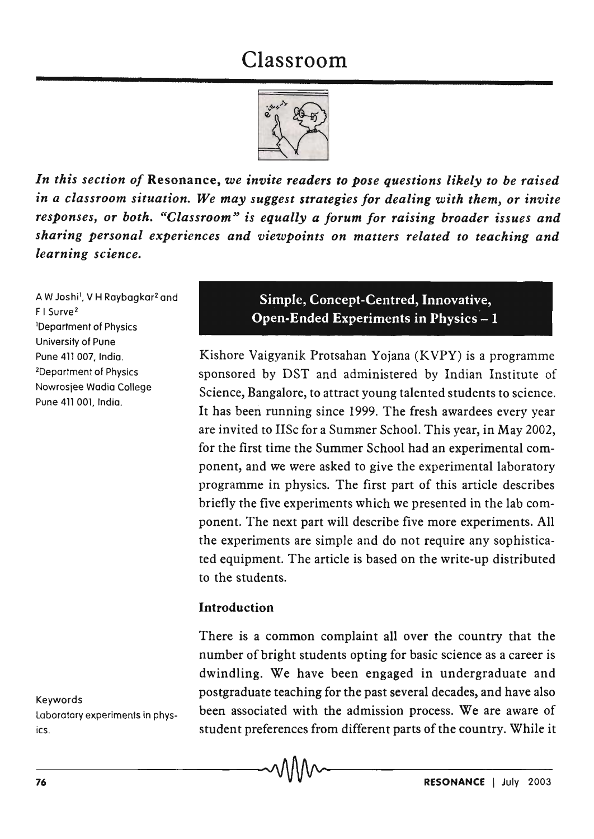# Classroom



*In this section of* Resonance, *we invite readers to pose questions likely to be raised in a classroom situation. We may suggest strategies for dealing with them,* or *invite responses,* or *both. "Classroom" is equally a forum for raising broader issues and sharing personal experiences and viewpoints* on *matters related to teaching and learning science.* 

A W Joshi<sup>1</sup>, V H Raybagkar<sup>2</sup> and F I Surve<sup>2</sup> lDepartment of Physics University of Pune Pune 411 007, India. 2Department of Physics Nowrosjee Wadia College Pune 411 DOl, India.

Keywords laboratory experiments in physics.

Simple, Concept-Centred, Innovative, Open-Ended Experiments in Physics-l

Kishore Vaigyanik Protsahan Yojana (KVPY) is a programme sponsored by DST and administered by Indian Institute of Science, Bangalore, to attract young talented students to science. It has been running since 1999. The fresh awardees every year are invited to lISe for a Summer School. This year, in May 2002, for the first time the Summer School had an experimental component, and we were asked to give the experimental laboratory programme in physics. The first part of this article describes briefly the five experiments which we presented in the lab component. The next part will describe five more experiments. All the experiments are simple and do not require any sophisticated equipment. The article is based on the write-up distributed to the students.

#### Introduction

There is a common complaint all over the country that the number of bright students opting for basic science as a career is dwindling. We have been engaged in undergraduate and postgraduate teaching for the past several decades, and have also been associated with the admission process. We are aware of student preferences from different parts of the country. While it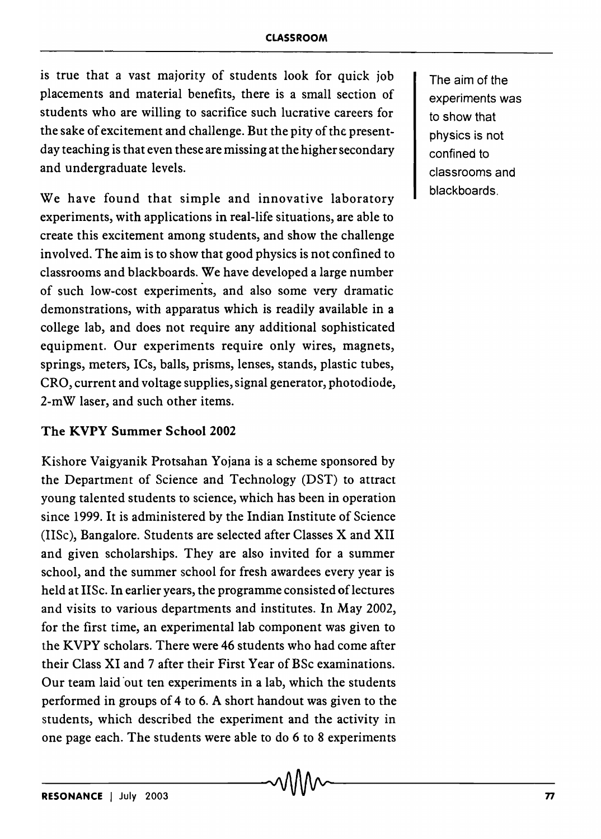is true that a vast majority of students look for quick job placements and material benefits, there is a small section of students who are willing to sacrifice such lucrative careers for the sake of excitement and challenge. But the pity of the presentday teaching is that even these are missing at the higher secondary and undergraduate levels.

We have found that simple and innovative laboratory experiments, with applications in real-life situations, are able to create this excitement among students, and show the challenge involved. The aim is to show that good physics is not confined to classrooms and blackboards. We have developed a large number of such low-cost experiments, and also some very dramatic demonstrations, with apparatus which is readily available in a college lab, and does not require any additional sophisticated equipment. Our experiments require only wires, magnets, springs, meters, ICs, balls, prisms, lenses, stands, plastic tubes, CRO, current and voltage supplies, signal generator, photodiode, 2-mW laser, and such other items.

#### The KVPY Summer School 2002

Kishore Vaigyanik Protsahan Yojana is a scheme sponsored by the Department of Science and Technology CDST) to attract young talented students to science, which has been in operation since 1999. It is administered by the Indian Institute of Science (IISc), Bangalore. Students are selected after Classes X and XII and given scholarships. They are also invited for a summer school, and the summer school for fresh awardees every year is held at IISc. In earlier years, the programme consisted of lectures and visits to various departments and institutes. In May 2002, for the first time, an experimental lab component was given to the KVPY scholars. There were 46 students who had come after their Class XI and 7 after their First Year of BSc examinations. Our team laid 'out ten experiments in a lab, which the students performed in groups of 4 to 6. A short handout was given to the students, which described the experiment and the activity in one page each. The students were able to do 6 to 8 experiments

The aim of the experiments was to show that physics is not confined to classrooms and blackboards.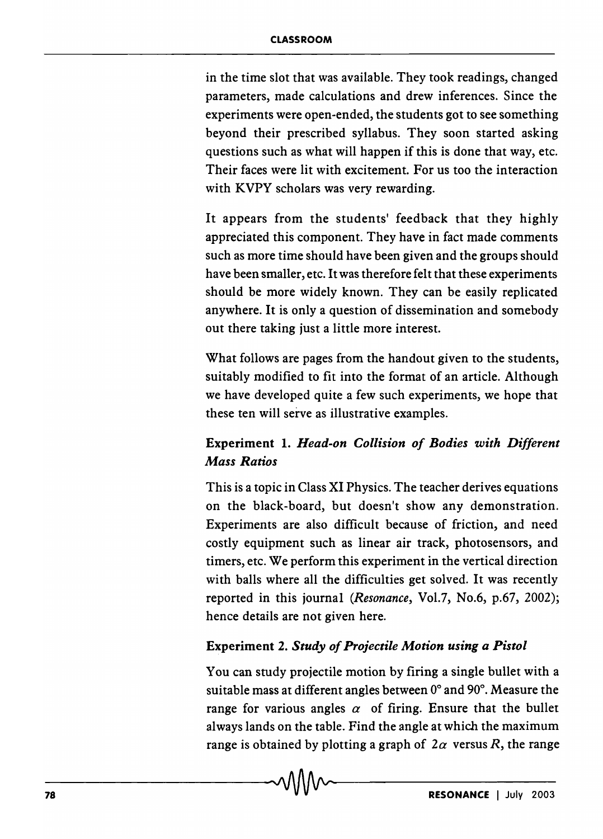in the time slot that was available. They took readings, changed parameters, made calculations and drew inferences. Since the experiments were open-ended, the students got to see something beyond their prescribed syllabus. They soon started asking questions such as what will happen if this is done that way, etc. Their faces were lit with excitement. For us too the interaction with KVPY scholars was very rewarding.

It appears from the students' feedback that they highly appreciated this component. They have in fact made comments such as more time should have been given and the groups should have been smaller, etc. It was therefore felt that these experiments should be more widely known. They can be easily replicated anywhere. It is only a question of dissemination and somebody out there taking just a little more interest.

What follows are pages from the handout given to the students, suitably modified to fit into the format of an article. Although we have developed quite a few such experiments, we hope that these ten will serve as illustrative examples.

# Experiment 1. *Head-on Collision of Bodies with Different Mass Ratios*

This is a topic in Class XI Physics. The teacher derives equations on the black-board, but doesn't show any demonstration. Experiments are also difficult because of friction, and need costly equipment such as linear air track, photosensors, and timers, etc. We perform this experiment in the vertical direction with balls where all the difficulties get solved. It was recently reported in this journal *(Resonance,* Vol.7, No.6, p.67, 2002); hence details are not given here.

## Experiment 2. *Study of Projectile Motion using a Pistol*

You can study projectile motion by firing a single bullet with a suitable mass at different angles between 0° and 90°. Measure the range for various angles  $\alpha$  of firing. Ensure that the bullet always lands on the table. Find the angle at which the maximum range is obtained by plotting a graph of  $2\alpha$  versus R, the range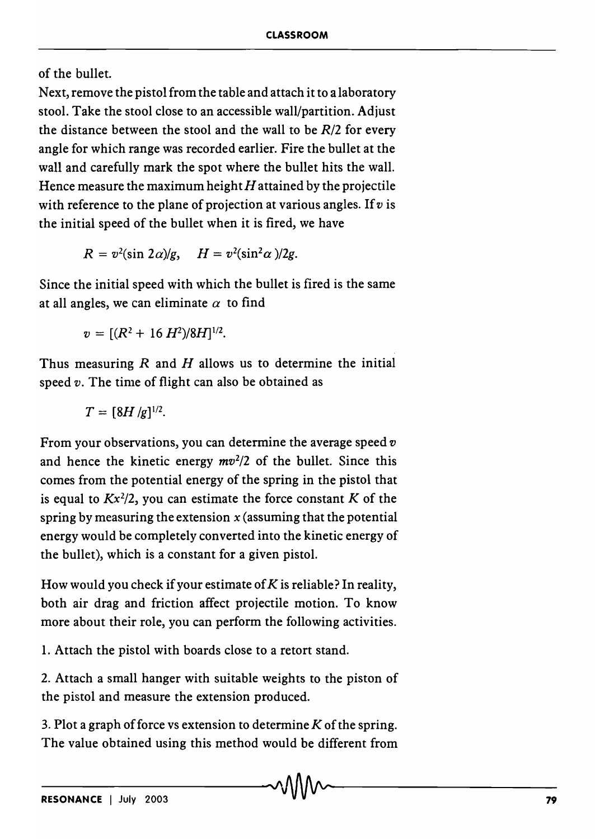of the bullet.

Next, remove the pistol from the table and attach it to a laboratory stool. Take the stool close to an accessible wall/partition. Adjust the distance between the stool and the wall to be *R/2* for every angle for which range was recorded earlier. Fire the bullet at the wall and carefully mark the spot where the bullet hits the wall. Hence measure the maximum height  $H$  attained by the projectile with reference to the plane of projection at various angles. If *v* is the initial speed of the bullet when it is fired, we have

 $R = v^2(\sin 2\alpha)/g$ ,  $H = v^2(\sin^2 \alpha)/2g$ .

Since the initial speed with which the bullet is fired is the same at all angles, we can eliminate  $\alpha$  to find

 $v = [(R^2 + 16 H^2)/8H]^{1/2}.$ 

Thus measuring  $R$  and  $H$  allows us to determine the initial speed *v*. The time of flight can also be obtained as

 $T = [8H/g]^{1/2}.$ 

From your observations, you can determine the average speed *v*  and hence the kinetic energy *mv2 /2* of the bullet. Since this comes from the potential energy of the spring in the pistol that is equal to  $Kx^2/2$ , you can estimate the force constant  $K$  of the spring by measuring the extension *x* (assuming that the potential energy would be completely converted into the kinetic energy of the bullet), which is a constant for a given pistol.

How would you check if your estimate of  $K$  is reliable? In reality, both air drag and friction affect projectile motion. To know more about their role, you can perform the following activities.

1. Attach the pistol with boards close to a retort stand.

2. Attach a small hanger with suitable weights to the piston of the pistol and measure the extension produced.

3. Plot a graph of force vs extension to determine  $K$  of the spring. The value obtained using this method would be different from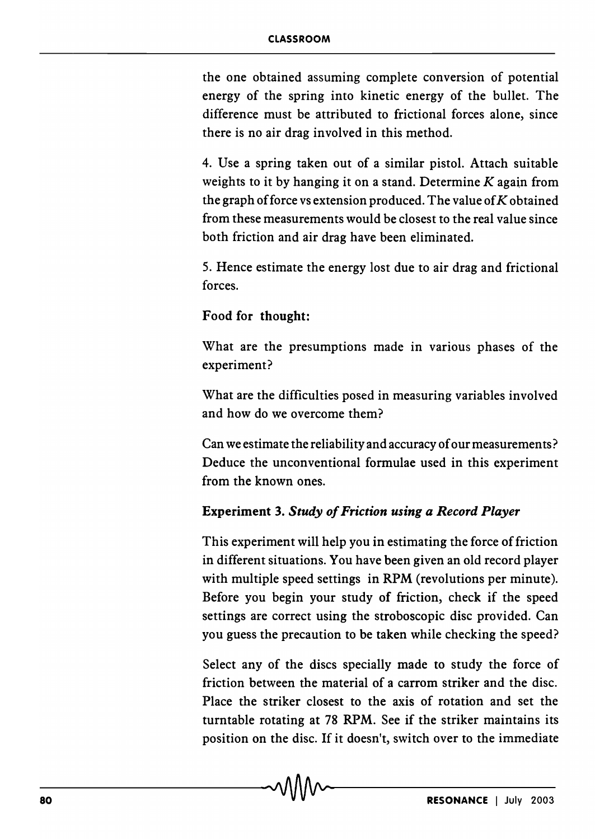the one obtained assuming complete conversion of potential energy of the spring into kinetic energy of the bullet. The difference must be attributed to frictional forces alone, since there is no air drag involved in this method.

4. Use a spring taken out of a similar pistol. Attach suitable weights to it by hanging it on a stand. Determine  $K$  again from the graph of force vs extension produced. The value of  $K$  obtained from these measurements would be closest to the real value since both friction and air drag have been eliminated.

5. Hence estimate the energy lost due to air drag and frictional forces.

#### Food for thought:

What are the presumptions made in various phases of the experiment?

What are the difficulties posed in measuring variables involved and how do we overcome them?

Can we estimate the reliability and accuracy of our measurements? Deduce the unconventional formulae used in this experiment from the known ones.

#### Experiment 3. *Study of Friction using a Record Player*

This experiment will help you in estimating the force of friction in different situations. You have been given an old record player with multiple speed settings in RPM (revolutions per minute). Before you begin your study of friction, check if the speed settings are correct using the stroboscopic disc provided. Can you guess the precaution to be taken while checking the speed?

Select any of the discs specially made to study the force of friction between the material of a carrom striker and the disc. Place the striker closest to the axis of rotation and set the turntable rotating at 78 RPM. See if the striker maintains its position on the disc. If it doesn't, switch over to the immediate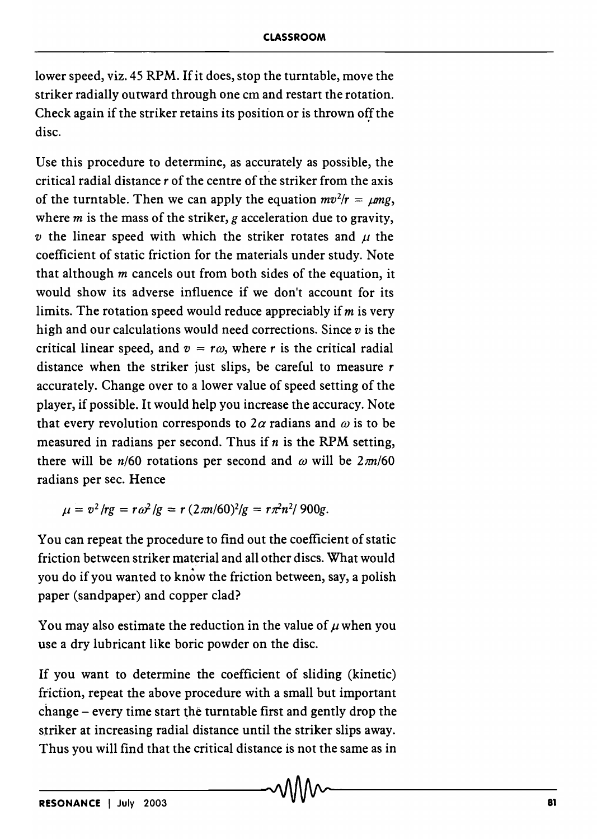lower speed, viz. 45 RPM. If it does, stop the turntable, move the striker radially outward through one cm and restart the rotation. Check again if the striker retains its position or is thrown off the disc.

Use this procedure to determine, as accurately as possible, the critical radial distance *r* of the centre of the striker from the axis of the turntable. Then we can apply the equation  $mv^2/r = \mu mg$ , where *m* is the mass of the striker, *g* acceleration due to gravity, *v* the linear speed with which the striker rotates and  $\mu$  the coefficient of static friction for the materials under study. Note that although  $m$  cancels out from both sides of the equation, it would show its adverse influence if we don't account for its limits. The rotation speed would reduce appreciably if *m* is very high and our calculations would need corrections. Since *v* is the critical linear speed, and  $v = r\omega$ , where r is the critical radial distance when the striker just slips, be careful to measure *r*  accurately. Change over to a lower value of speed setting of the player, if possible. It would help you increase the accuracy. Note that every revolution corresponds to  $2\alpha$  radians and  $\omega$  is to be measured in radians per second. Thus if  $n$  is the RPM setting, there will be  $n/60$  rotations per second and  $\omega$  will be  $2\pi n/60$ radians per sec. Hence

 $\mu = v^2/rg = r\omega^2/g = r(2\pi n/60)^2/g = r\pi^2 n^2/900g.$ 

You can repeat the procedure to find out the coefficient of static friction between striker material and all other discs. What would you do if you wanted to know the friction between, say, a polish paper (sandpaper) and copper clad?

You may also estimate the reduction in the value of  $\mu$  when you use a dry lubricant like boric powder on the disc.

If you want to determine the coefficient of sliding (kinetic) friction, repeat the above procedure with a small but important change - every time start the turntable first and gently drop the striker at increasing radial distance until the striker slips away. Thus you will find that the critical distance is not the same as in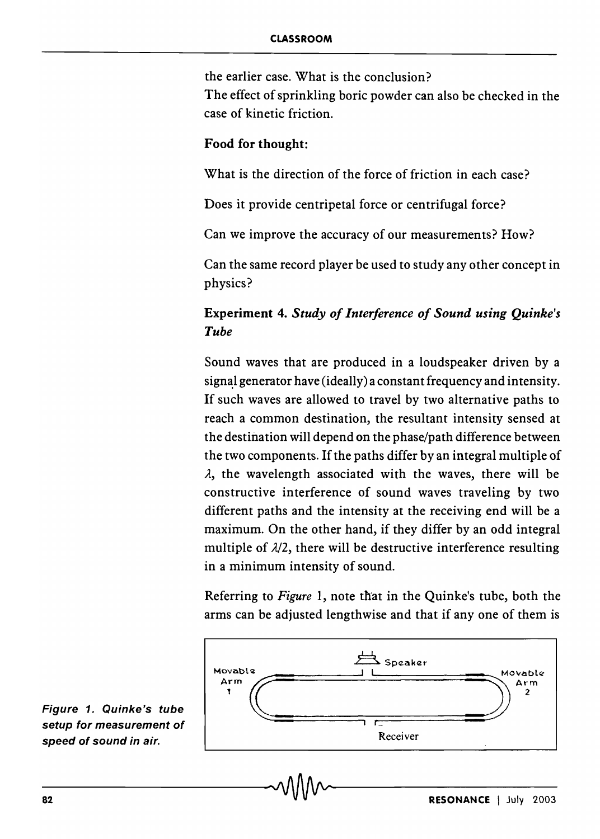the earlier case. What is the conclusion?

The effect of sprinkling boric powder can also be checked in the case of kinetic friction.

#### Food for thought:

What is the direction of the force of friction in each case?

Does it provide centripetal force or centrifugal force?

Can we improve the accuracy of our measurements? How?

Can the same record player be used to study any other concept in physics?

## Experiment 4. *Study of Interference of Sound using Quinke's Tube*

Sound waves that are produced in a loudspeaker driven by a signal generator have (ideally) a constant frequency and intensity. If such waves are allowed to travel by two alternative paths to reach a common destination, the resultant intensity sensed at the destination will depend on the phase/path difference between the two components. If the paths differ by an integral multiple of  $\lambda$ , the wavelength associated with the waves, there will be constructive interference of sound waves traveling by two different paths and the intensity at the receiving end will be a maximum. On the other hand, if they differ by an odd integral multiple of  $\lambda/2$ , there will be destructive interference resulting in a minimum intensity of sound.

Referring to *Figure* 1, note that in the Quinke's tube, both the arms can be adjusted lengthwise and that if anyone of them is



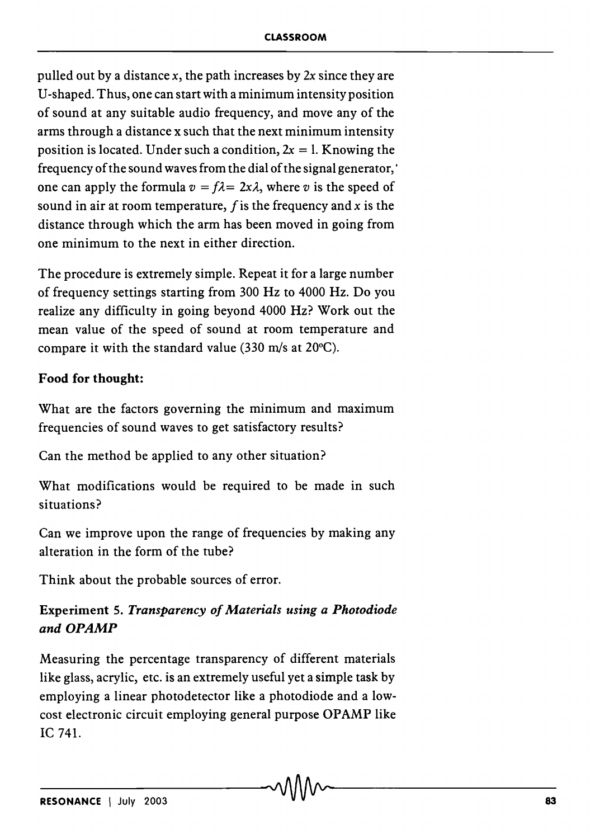pulled out by a distance *x,* the path increases by *2x* since they are U -shaped. Thus, one can start with a minimum intensity position of sound at any suitable audio frequency, and move any of the arms through a distance x such that the next minimum intensity position is located. Under such a condition,  $2x = 1$ . Knowing the frequency of the sound waves from the dial of the signal generator,' one can apply the formula  $v = f\lambda = 2x\lambda$ , where *v* is the speed of sound in air at room temperature, f is the frequency and *x* is the distance through which the arm has been moved in going from one minimum to the next in either direction.

The procedure is extremely simple. Repeat it for a large number of frequency settings starting from 300 Hz to 4000 Hz. Do you realize any difficulty in going beyond 4000 Hz? Work out the mean value of the speed of sound at room temperature and compare it with the standard value (330 m/s at 20°C).

### Food for thought:

What are the factors governing the minimum and maximum frequencies of sound waves to get satisfactory results?

Can the method be applied to any other situation?

What modifications would be required to be made in such situations?

Can we improve upon the range of frequencies by making any alteration in the form of the tube?

Think about the probable sources of error.

## Experiment 5. *Transparency of Materials using a Photodiode and OPAMP*

Measuring the percentage transparency of different materials like glass, acrylic, etc. is an extremely useful yet a simple task by employing a linear photodetector like a photodiode and a lowcost electronic circuit employing general purpose OPAMP like IC 741.